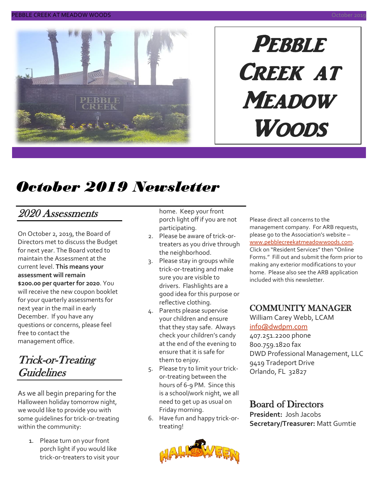

# **PEBBLE** Creek at **MEADOW Woods**

# *October 2019 Newsletter*

### 2020 Assessments

On October 2, 2019, the Board of Directors met to discuss the Budget for next year. The Board voted to maintain the Assessment at the current level. **This means your assessment will remain \$200.00 per quarter for 2020**. You will receive the new coupon booklet for your quarterly assessments for next year in the mail in early December. If you have any questions or concerns, please feel free to contact the management office.

### Trick-or-Treating Guidelines

As we all begin preparing for the Halloween holiday tomorrow night, we would like to provide you with some guidelines for trick-or-treating within the community:

> 1. Please turn on your front porch light if you would like trick-or-treaters to visit your

home. Keep your front porch light off if you are not participating.

- 2. Please be aware of trick-ortreaters as you drive through the neighborhood.
- 3. Please stay in groups while trick-or-treating and make sure you are visible to drivers. Flashlights are a good idea for this purpose or reflective clothing.
- 4. Parents please supervise your children and ensure that they stay safe. Always check your children's candy at the end of the evening to ensure that it is safe for them to enjoy.
- 5. Please try to limit your trickor-treating between the hours of 6-9 PM. Since this is a school/work night, we all need to get up as usual on Friday morning.
- 6. Have fun and happy trick-ortreating!



Please direct all concerns to the management company. For ARB requests, please go to the Association's website – [www.pebblecreekatmeadowwoods.com.](http://www.pebblecreekatmeadowwoods.com/) Click on "Resident Services" then "Online Forms." Fill out and submit the form prior to making any exterior modifications to your home. Please also see the ARB application included with this newsletter.

#### COMMUNITY MANAGER

William Carey Webb, LCAM

#### [info@dwdpm.com](mailto:info@dwdpm.com)

407.251.2200 phone 800.759.1820 fax DWD Professional Management, LLC 9419 Tradeport Drive Orlando, FL 32827

### Board of Directors

**President:** Josh Jacobs **Secretary/Treasurer:** Matt Gumtie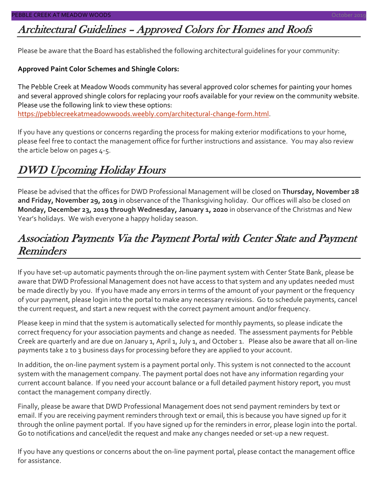### Architectural Guidelines – Approved Colors for Homes and Roofs

Please be aware that the Board has established the following architectural guidelines for your community:

#### **Approved Paint Color Schemes and Shingle Colors:**

The Pebble Creek at Meadow Woods community has several approved color schemes for painting your homes and several approved shingle colors for replacing your roofs available for your review on the community website. Please use the following link to view these options:

[https://pebblecreekatmeadowwoods.weebly.com/architectural-change-form.html.](https://pebblecreekatmeadowwoods.weebly.com/architectural-change-form.html)

If you have any questions or concerns regarding the process for making exterior modifications to your home, please feel free to contact the management office for further instructions and assistance. You may also review the article below on pages 4-5.

### DWD Upcoming Holiday Hours

Please be advised that the offices for DWD Professional Management will be closed on **Thursday, November 28 and Friday, November 29, 2019** in observance of the Thanksgiving holiday. Our offices will also be closed on **Monday, December 23, 2019 through Wednesday, January 1, 2020** in observance of the Christmas and New Year's holidays. We wish everyone a happy holiday season.

### Association Payments Via the Payment Portal with Center State and Payment **Reminders**

If you have set-up automatic payments through the on-line payment system with Center State Bank, please be aware that DWD Professional Management does not have access to that system and any updates needed must be made directly by you. If you have made any errors in terms of the amount of your payment or the frequency of your payment, please login into the portal to make any necessary revisions. Go to schedule payments, cancel the current request, and start a new request with the correct payment amount and/or frequency.

Please keep in mind that the system is automatically selected for monthly payments, so please indicate the correct frequency for your association payments and change as needed. The assessment payments for Pebble Creek are quarterly and are due on January 1, April 1, July 1, and October 1. Please also be aware that all on-line payments take 2 to 3 business days for processing before they are applied to your account.

In addition, the on-line payment system is a payment portal only. This system is not connected to the account system with the management company. The payment portal does not have any information regarding your current account balance. If you need your account balance or a full detailed payment history report, you must contact the management company directly.

Finally, please be aware that DWD Professional Management does not send payment reminders by text or email. If you are receiving payment reminders through text or email, this is because you have signed up for it through the online payment portal. If you have signed up for the reminders in error, please login into the portal. Go to notifications and cancel/edit the request and make any changes needed or set-up a new request.

If you have any questions or concerns about the on-line payment portal, please contact the management office for assistance.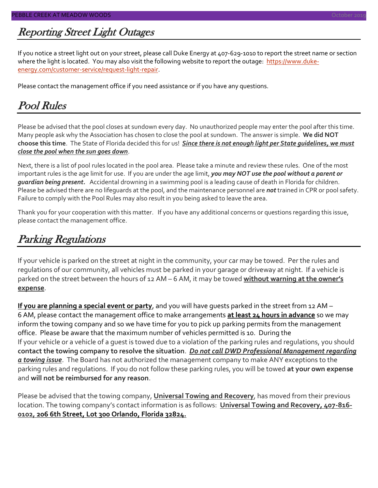### Reporting Street Light Outages

If you notice a street light out on your street, please call Duke Energy at 407-629-1010 to report the street name or section where the light is located. You may also visit the following website to report the outage: [https://www.duke](https://www.duke-energy.com/customer-service/request-light-repair)[energy.com/customer-service/request-light-repair.](https://www.duke-energy.com/customer-service/request-light-repair)

Please contact the management office if you need assistance or if you have any questions.

### Pool Rules

Please be advised that the pool closes at sundown every day. No unauthorized people may enter the pool after this time. Many people ask why the Association has chosen to close the pool at sundown. The answer is simple. **We did NOT choose this time**. The State of Florida decided this for us! *Since there is not enough light per State guidelines, we must close the pool when the sun goes down*.

Next, there is a list of pool rules located in the pool area. Please take a minute and review these rules. One of the most important rules is the age limit for use. If you are under the age limit, *you may NOT use the pool without a parent or guardian being present.* Accidental drowning in a swimming pool is a leading cause of death in Florida for children. Please be advised there are no lifeguards at the pool, and the maintenance personnel are *not* trained in CPR or pool safety. Failure to comply with the Pool Rules may also result in you being asked to leave the area.

Thank you for your cooperation with this matter. If you have any additional concerns or questions regarding this issue, please contact the management office.

### Parking Regulations

If your vehicle is parked on the street at night in the community, your car may be towed. Per the rules and regulations of our community, all vehicles must be parked in your garage or driveway at night. If a vehicle is parked on the street between the hours of 12 AM – 6 AM, it may be towed **without warning at the owner's expense**.

**If you are planning a special event or party**, and you will have guests parked in the street from 12 AM – 6 AM, please contact the management office to make arrangements **at least 24 hours in advance** so we may inform the towing company and so we have time for you to pick up parking permits from the management office. Please be aware that the maximum number of vehicles permitted is 10. During the If your vehicle or a vehicle of a guest is towed due to a violation of the parking rules and regulations, you should **contact the towing company to resolve the situation**. *Do not call DWD Professional Management regarding a towing issue*. The Board has not authorized the management company to make ANY exceptions to the parking rules and regulations. If you do not follow these parking rules, you will be towed **at your own expense** and **will not be reimbursed for any reason**.

Please be advised that the towing company, **Universal Towing and Recovery**, has moved from their previous location. The towing company's contact information is as follows: **Universal Towing and Recovery, 407-816- 0102, 206 6th Street, Lot 300 Orlando, Florida 32824.**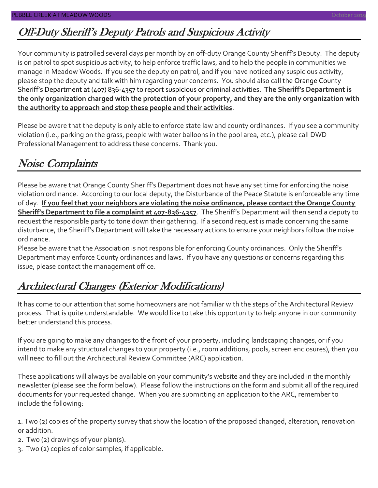### Off-Duty Sheriff's Deputy Patrols and Suspicious Activity

Your community is patrolled several days per month by an off-duty Orange County Sheriff's Deputy. The deputy is on patrol to spot suspicious activity, to help enforce traffic laws, and to help the people in communities we manage in Meadow Woods. If you see the deputy on patrol, and if you have noticed any suspicious activity, please stop the deputy and talk with him regarding your concerns. You should also call the Orange County Sheriff's Department at (407) 836-4357 to report suspicious or criminal activities. **The Sheriff's Department is the only organization charged with the protection of your property, and they are the only organization with the authority to approach and stop these people and their activities**.

Please be aware that the deputy is only able to enforce state law and county ordinances. If you see a community violation (i.e., parking on the grass, people with water balloons in the pool area, etc.), please call DWD Professional Management to address these concerns. Thank you.

### Noise Complaints

Please be aware that Orange County Sheriff's Department does not have any set time for enforcing the noise violation ordinance. According to our local deputy, the Disturbance of the Peace Statute is enforceable any time of day. **If you feel that your neighbors are violating the noise ordinance, please contact the Orange County Sheriff's Department to file a complaint at 407-836-4357**. The Sheriff's Department will then send a deputy to request the responsible party to tone down their gathering. If a second request is made concerning the same disturbance, the Sheriff's Department will take the necessary actions to ensure your neighbors follow the noise ordinance.

Please be aware that the Association is not responsible for enforcing County ordinances. Only the Sheriff's Department may enforce County ordinances and laws. If you have any questions or concerns regarding this issue, please contact the management office.

### Architectural Changes (Exterior Modifications)

It has come to our attention that some homeowners are not familiar with the steps of the Architectural Review process. That is quite understandable. We would like to take this opportunity to help anyone in our community better understand this process.

If you are going to make any changes to the front of your property, including landscaping changes, or if you intend to make any structural changes to your property (i.e., room additions, pools, screen enclosures), then you will need to fill out the Architectural Review Committee (ARC) application.

These applications will always be available on your community's website and they are included in the monthly newsletter (please see the form below). Please follow the instructions on the form and submit all of the required documents for your requested change. When you are submitting an application to the ARC, remember to include the following:

1. Two (2) copies of the property survey that show the location of the proposed changed, alteration, renovation or addition.

- 2. Two (2) drawings of your plan(s).
- 3. Two (2) copies of color samples, if applicable.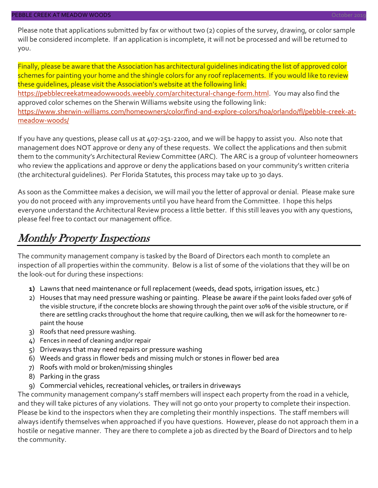Please note that applications submitted by fax or without two (2) copies of the survey, drawing, or color sample will be considered incomplete. If an application is incomplete, it will not be processed and will be returned to you.

Finally, please be aware that the Association has architectural guidelines indicating the list of approved color schemes for painting your home and the shingle colors for any roof replacements. If you would like to review these guidelines, please visit the Association's website at the following link: [https://pebblecreekatmeadowwoods.weebly.com/architectural-change-form.html.](https://pebblecreekatmeadowwoods.weebly.com/architectural-change-form.html) You may also find the approved color schemes on the Sherwin Williams website using the following link: [https://www.sherwin-williams.com/homeowners/color/find-and-explore-colors/hoa/orlando/fl/pebble-creek-at](https://www.sherwin-williams.com/homeowners/color/find-and-explore-colors/hoa/orlando/fl/pebble-creek-at-meadow-woods/)[meadow-woods/](https://www.sherwin-williams.com/homeowners/color/find-and-explore-colors/hoa/orlando/fl/pebble-creek-at-meadow-woods/)

If you have any questions, please call us at 407-251-2200, and we will be happy to assist you. Also note that management does NOT approve or deny any of these requests. We collect the applications and then submit them to the community's Architectural Review Committee (ARC). The ARC is a group of volunteer homeowners who review the applications and approve or deny the applications based on your community's written criteria (the architectural guidelines). Per Florida Statutes, this process may take up to 30 days.

As soon as the Committee makes a decision, we will mail you the letter of approval or denial. Please make sure you do not proceed with any improvements until you have heard from the Committee. I hope this helps everyone understand the Architectural Review process a little better. If this still leaves you with any questions, please feel free to contact our management office.

### Monthly Property Inspections

The community management company is tasked by the Board of Directors each month to complete an inspection of all properties within the community. Below is a list of some of the violations that they will be on the look-out for during these inspections:

- **1)** Lawns that need maintenance or full replacement (weeds, dead spots, irrigation issues, etc.)
- 2) Houses that may need pressure washing or painting. Please be aware if the paint looks faded over 50% of the visible structure, if the concrete blocks are showing through the paint over 10% of the visible structure, or if there are settling cracks throughout the home that require caulking, then we will ask for the homeowner to repaint the house
- 3) Roofs that need pressure washing.
- 4) Fences in need of cleaning and/or repair
- 5) Driveways that may need repairs or pressure washing
- 6) Weeds and grass in flower beds and missing mulch or stones in flower bed area
- 7) Roofs with mold or broken/missing shingles
- 8) Parking in the grass
- 9) Commercial vehicles, recreational vehicles, or trailers in driveways

The community management company's staff members will inspect each property from the road in a vehicle, and they will take pictures of any violations. They will not go onto your property to complete their inspection. Please be kind to the inspectors when they are completing their monthly inspections. The staff members will always identify themselves when approached if you have questions. However, please do not approach them in a hostile or negative manner. They are there to complete a job as directed by the Board of Directors and to help the community.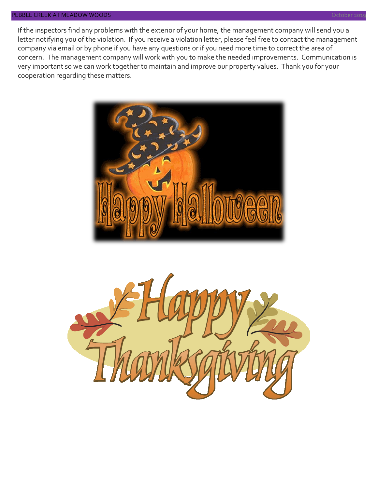#### PEBBLE CREEK AT MEADOW WOODS October 2019

If the inspectors find any problems with the exterior of your home, the management company will send you a letter notifying you of the violation. If you receive a violation letter, please feel free to contact the management company via email or by phone if you have any questions or if you need more time to correct the area of concern. The management company will work with you to make the needed improvements. Communication is very important so we can work together to maintain and improve our property values. Thank you for your cooperation regarding these matters.



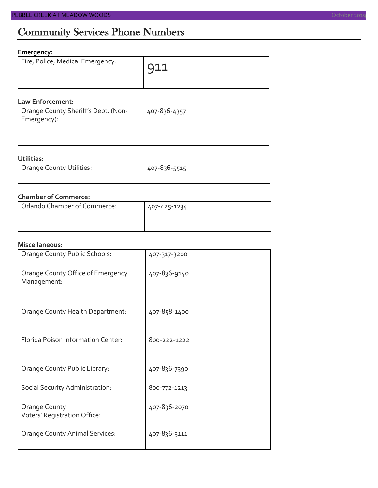#### **Emergency:**

| Fire, Police, Medical Emergency: | 911 |
|----------------------------------|-----|
|                                  |     |

#### **Law Enforcement:**

| 407-836-4357 |
|--------------|
|              |
|              |
|              |

#### **Utilities:**

| Orange County Utilities: | 407-836-5515 |  |  |
|--------------------------|--------------|--|--|
|                          |              |  |  |

#### **Chamber of Commerce:**

| Orlando Chamber of Commerce: | 407-425-1234 |  |  |
|------------------------------|--------------|--|--|
|                              |              |  |  |

#### **Miscellaneous:**

| Orange County Public Schools:                        | 407-317-3200 |
|------------------------------------------------------|--------------|
| Orange County Office of Emergency<br>Management:     | 407-836-9140 |
| Orange County Health Department:                     | 407-858-1400 |
| Florida Poison Information Center:                   | 800-222-1222 |
| Orange County Public Library:                        | 407-836-7390 |
| Social Security Administration:                      | 800-772-1213 |
| <b>Orange County</b><br>Voters' Registration Office: | 407-836-2070 |
| <b>Orange County Animal Services:</b>                | 407-836-3111 |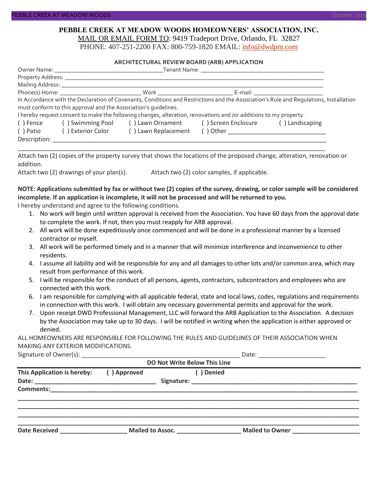#### **PEBBLE CREEK AT MEADOW WOODS HOMEOWNERS' ASSOCIATION, INC.** MAIL OR EMAIL FORM TO: 9419 Tradeport Drive, Orlando, FL 32827

PHONE: 407-251-2200 FAX: 800-759-1820 EMAIL: [info@dwdpm.com](mailto:info@dwdpm.com)

#### **ARCHITECTURAL REVIEW BOARD (ARB) APPLICATION**

|                                                                                                                                       | Mailing Address: ____________                                   |                                                                                                                   |                                            |                                     |  |  |  |
|---------------------------------------------------------------------------------------------------------------------------------------|-----------------------------------------------------------------|-------------------------------------------------------------------------------------------------------------------|--------------------------------------------|-------------------------------------|--|--|--|
|                                                                                                                                       |                                                                 |                                                                                                                   |                                            | E-mail: ___________________________ |  |  |  |
| In Accordance with the Declaration of Covenants, Conditions and Restrictions and the Association's Rule and Requlations, Installation |                                                                 |                                                                                                                   |                                            |                                     |  |  |  |
|                                                                                                                                       | must conform to this approval and the Association's quidelines. |                                                                                                                   |                                            |                                     |  |  |  |
|                                                                                                                                       |                                                                 | I hereby request consent to make the following changes, alteration, renovations and /or additions to my property. |                                            |                                     |  |  |  |
| () Fence                                                                                                                              |                                                                 | () Swimming Pool () Lawn Ornament () Screen Enclosure                                                             |                                            | () Landscaping                      |  |  |  |
| ( ) Patio                                                                                                                             | ( ) Exterior Color                                              | () Lawn Replacement                                                                                               | ( ) Other ________________________________ |                                     |  |  |  |
| Description:                                                                                                                          |                                                                 |                                                                                                                   |                                            |                                     |  |  |  |

Attach two (2) copies of the property survey that shows the locations of the proposed change, alteration, renovation or addition.

\_\_\_\_\_\_\_\_\_\_\_\_\_\_\_\_\_\_\_\_\_\_\_\_\_\_\_\_\_\_\_\_\_\_\_\_\_\_\_\_\_\_\_\_\_\_\_\_\_\_\_\_\_\_\_\_\_\_\_\_\_\_\_\_\_\_\_\_\_\_\_\_\_\_\_\_\_\_\_\_\_\_\_\_\_\_\_\_\_\_\_

Attach two (2) drawings of your plan(s). Attach two (2) color samples, if applicable.

#### **NOTE: Applications submitted by fax or without two (2) copies of the survey, drawing, or color sample will be considered incomplete. If an application is incomplete, it will not be processed and will be returned to you.**

I hereby understand and agree to the following conditions.

- 1. No work will begin until written approval is received from the Association. You have 60 days from the approval date to complete the work. If not, then you must reapply for ARB approval.
- 2. All work will be done expeditiously once commenced and will be done in a professional manner by a licensed contractor or myself.
- 3. All work will be performed timely and in a manner that will minimize interference and inconvenience to other residents.
- 4. I assume all liability and will be responsible for any and all damages to other lots and/or common area, which may result from performance of this work.
- 5. I will be responsible for the conduct of all persons, agents, contractors, subcontractors and employees who are connected with this work.
- 6. I am responsible for complying with all applicable federal, state and local laws, codes, regulations and requirements in connection with this work. I will obtain any necessary governmental permits and approval for the work.
- 7. Upon receipt DWD Professional Management, LLC will forward the ARB Application to the Association. A decision by the Association may take up to 30 days. I will be notified in writing when the application is either approved or denied.

ALL HOMEOWNERS ARE RESPONSIBLE FOR FOLLOWING THE RULES AND GUIDELINES OF THEIR ASSOCIATION WHEN MAKING ANY EXTERIOR MODIFICATIONS.<br>Signature of Qurec(c):

|                                   |             | Date: <u>_____________________</u> |                              |                                            |  |  |
|-----------------------------------|-------------|------------------------------------|------------------------------|--------------------------------------------|--|--|
|                                   |             |                                    | DO Not Write Below This Line |                                            |  |  |
| This Application is hereby:       | () Approved |                                    | ( ) Denied                   |                                            |  |  |
|                                   |             |                                    |                              |                                            |  |  |
|                                   |             |                                    |                              |                                            |  |  |
|                                   |             |                                    |                              |                                            |  |  |
|                                   |             |                                    |                              |                                            |  |  |
|                                   |             |                                    |                              |                                            |  |  |
|                                   |             |                                    |                              |                                            |  |  |
| Date Received <b>Example 2018</b> |             |                                    | Mailed to Assoc.             | Mailed to Owner Mail Allen Mailed to Owner |  |  |